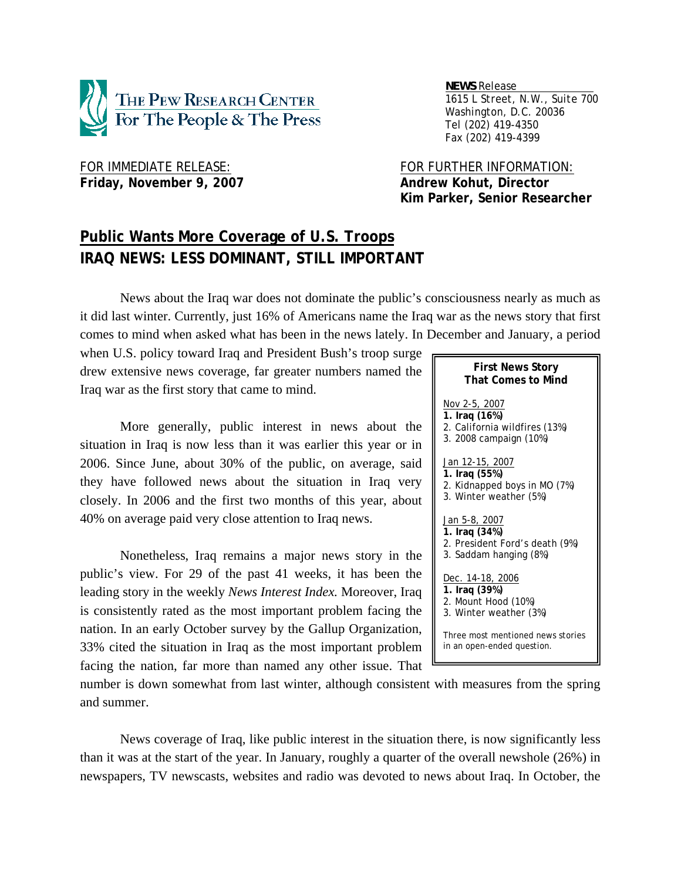

 *NEWS Release . 1615 L Street, N.W., Suite 700 Washington, D.C. 20036 Tel (202) 419-4350 Fax (202) 419-4399*

# Friday, November 9, 2007 **Andrew Kohut, Director**

FOR IMMEDIATE RELEASE: FOR FURTHER INFORMATION:  **Kim Parker, Senior Researcher** 

# **Public Wants More Coverage of U.S. Troops IRAQ NEWS: LESS DOMINANT, STILL IMPORTANT**

News about the Iraq war does not dominate the public's consciousness nearly as much as it did last winter. Currently, just 16% of Americans name the Iraq war as the news story that first comes to mind when asked what has been in the news lately. In December and January, a period

when U.S. policy toward Iraq and President Bush's troop surge drew extensive news coverage, far greater numbers named the Iraq war as the first story that came to mind.

More generally, public interest in news about the situation in Iraq is now less than it was earlier this year or in 2006. Since June, about 30% of the public, on average, said they have followed news about the situation in Iraq very closely. In 2006 and the first two months of this year, about 40% on average paid very close attention to Iraq news.

Nonetheless, Iraq remains a major news story in the public's view. For 29 of the past 41 weeks, it has been the leading story in the weekly *News Interest Index.* Moreover, Iraq is consistently rated as the most important problem facing the nation. In an early October survey by the Gallup Organization, 33% cited the situation in Iraq as the most important problem facing the nation, far more than named any other issue. That

| <b>That Comes to Mind</b>                                                                         |
|---------------------------------------------------------------------------------------------------|
| Nov 2-5, 2007<br>1. Iraq (16%)<br>2. California wildfires (13%)<br>3. 2008 campaign (10%)         |
| Jan 12-15, 2007<br>1. Iraq (55%)<br>2. Kidnapped boys in MO (7%)<br>3. Winter weather (5%)        |
| <u>Jan 5-8, 2007</u><br>1. Iraq (34%)<br>2. President Ford's death (9%)<br>3. Saddam hanging (8%) |
| Dec. 14-18, 2006<br>1. Iraq (39%)<br>2. Mount Hood (10%)<br>3. Winter weather (3%)                |
| Three most mentioned news stories<br>in an open-ended question.                                   |

**First News Story**

number is down somewhat from last winter, although consistent with measures from the spring and summer.

News coverage of Iraq, like public interest in the situation there, is now significantly less than it was at the start of the year. In January, roughly a quarter of the overall newshole (26%) in newspapers, TV newscasts, websites and radio was devoted to news about Iraq. In October, the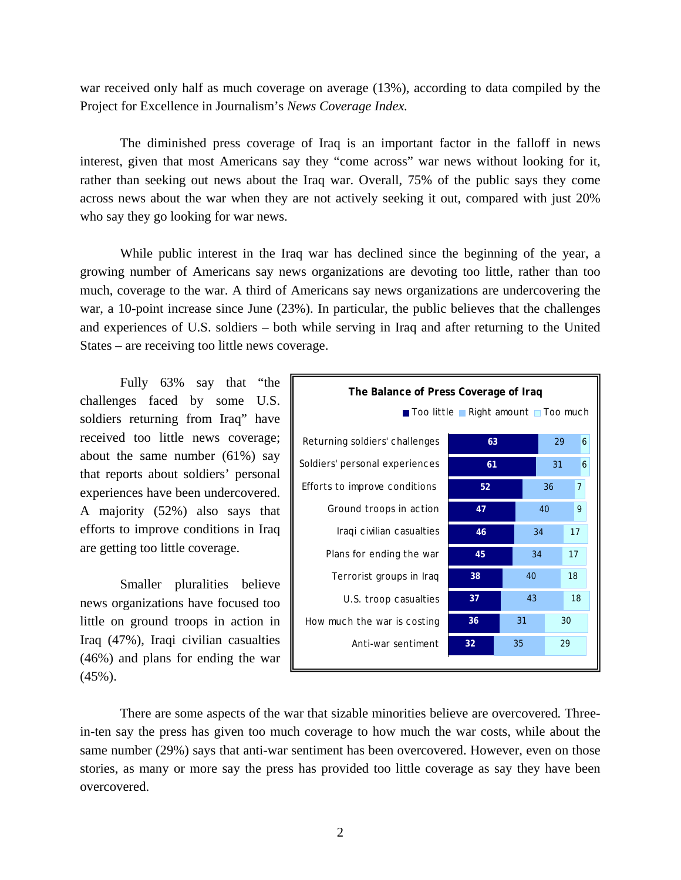war received only half as much coverage on average (13%), according to data compiled by the Project for Excellence in Journalism's *News Coverage Index.* 

The diminished press coverage of Iraq is an important factor in the falloff in news interest, given that most Americans say they "come across" war news without looking for it, rather than seeking out news about the Iraq war. Overall, 75% of the public says they come across news about the war when they are not actively seeking it out, compared with just 20% who say they go looking for war news.

While public interest in the Iraq war has declined since the beginning of the year, a growing number of Americans say news organizations are devoting too little, rather than too much, coverage to the war. A third of Americans say news organizations are undercovering the war, a 10-point increase since June (23%). In particular, the public believes that the challenges and experiences of U.S. soldiers – both while serving in Iraq and after returning to the United States – are receiving too little news coverage.

Fully 63% say that "the challenges faced by some U.S. soldiers returning from Iraq" have received too little news coverage; about the same number (61%) say that reports about soldiers' personal experiences have been undercovered. A majority (52%) also says that efforts to improve conditions in Iraq are getting too little coverage.

Smaller pluralities believe news organizations have focused too little on ground troops in action in Iraq (47%), Iraqi civilian casualties (46%) and plans for ending the war  $(45\%)$ .



 There are some aspects of the war that sizable minorities believe are overcovered*.* Threein-ten say the press has given too much coverage to how much the war costs, while about the same number (29%) says that anti-war sentiment has been overcovered. However, even on those stories, as many or more say the press has provided too little coverage as say they have been overcovered.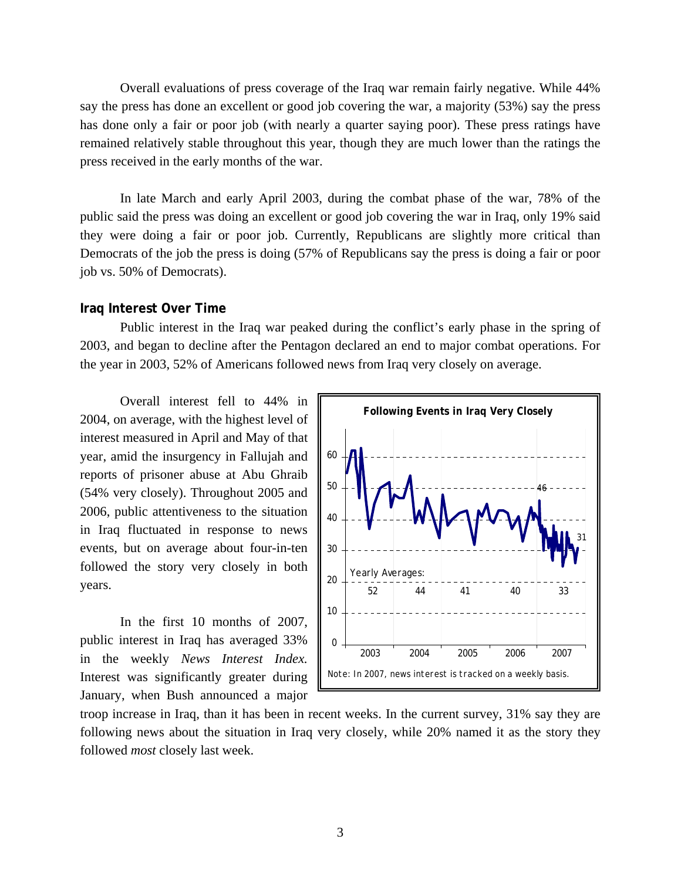Overall evaluations of press coverage of the Iraq war remain fairly negative. While 44% say the press has done an excellent or good job covering the war, a majority (53%) say the press has done only a fair or poor job (with nearly a quarter saying poor). These press ratings have remained relatively stable throughout this year, though they are much lower than the ratings the press received in the early months of the war.

In late March and early April 2003, during the combat phase of the war, 78% of the public said the press was doing an excellent or good job covering the war in Iraq, only 19% said they were doing a fair or poor job. Currently, Republicans are slightly more critical than Democrats of the job the press is doing (57% of Republicans say the press is doing a fair or poor job vs. 50% of Democrats).

#### **Iraq Interest Over Time**

Public interest in the Iraq war peaked during the conflict's early phase in the spring of 2003, and began to decline after the Pentagon declared an end to major combat operations. For the year in 2003, 52% of Americans followed news from Iraq very closely on average.

Overall interest fell to 44% in 2004, on average, with the highest level of interest measured in April and May of that year, amid the insurgency in Fallujah and reports of prisoner abuse at Abu Ghraib (54% very closely). Throughout 2005 and 2006, public attentiveness to the situation in Iraq fluctuated in response to news events, but on average about four-in-ten followed the story very closely in both years.

In the first 10 months of 2007, public interest in Iraq has averaged 33% in the weekly *News Interest Index.*  Interest was significantly greater during January, when Bush announced a major



troop increase in Iraq, than it has been in recent weeks. In the current survey, 31% say they are following news about the situation in Iraq very closely, while 20% named it as the story they followed *most* closely last week.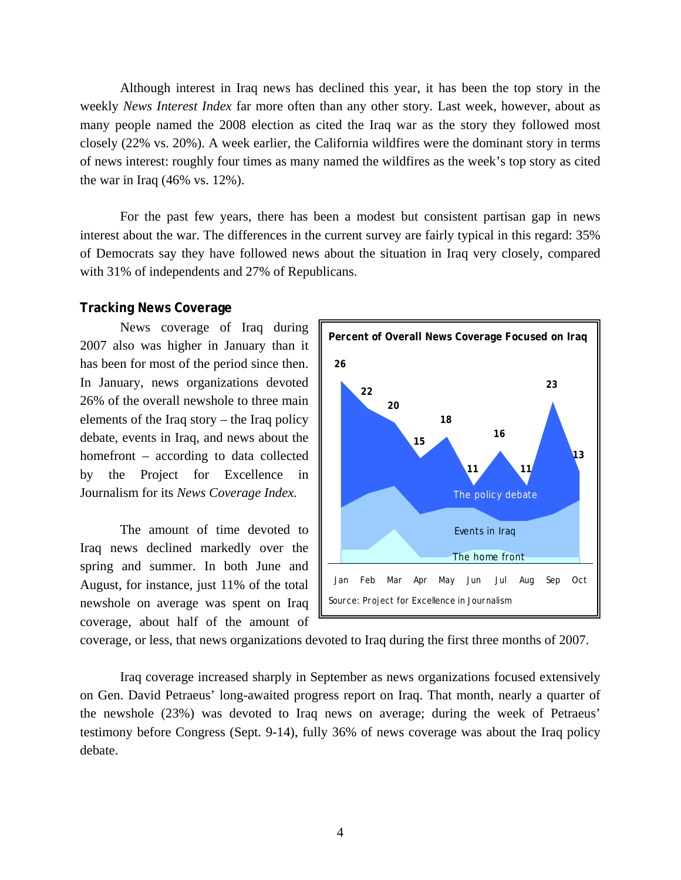Although interest in Iraq news has declined this year, it has been the top story in the weekly *News Interest Index* far more often than any other story*.* Last week, however, about as many people named the 2008 election as cited the Iraq war as the story they followed most closely (22% vs. 20%). A week earlier, the California wildfires were the dominant story in terms of news interest: roughly four times as many named the wildfires as the week's top story as cited the war in Iraq (46% vs. 12%).

 For the past few years, there has been a modest but consistent partisan gap in news interest about the war. The differences in the current survey are fairly typical in this regard: 35% of Democrats say they have followed news about the situation in Iraq very closely, compared with 31% of independents and 27% of Republicans.

#### **Tracking News Coverage**

 News coverage of Iraq during 2007 also was higher in January than it has been for most of the period since then. In January, news organizations devoted 26% of the overall newshole to three main elements of the Iraq story – the Iraq policy debate, events in Iraq, and news about the homefront – according to data collected by the Project for Excellence in Journalism for its *News Coverage Index.* 

 The amount of time devoted to Iraq news declined markedly over the spring and summer. In both June and August, for instance, just 11% of the total newshole on average was spent on Iraq coverage, about half of the amount of



coverage, or less, that news organizations devoted to Iraq during the first three months of 2007.

 Iraq coverage increased sharply in September as news organizations focused extensively on Gen. David Petraeus' long-awaited progress report on Iraq. That month, nearly a quarter of the newshole (23%) was devoted to Iraq news on average; during the week of Petraeus' testimony before Congress (Sept. 9-14), fully 36% of news coverage was about the Iraq policy debate.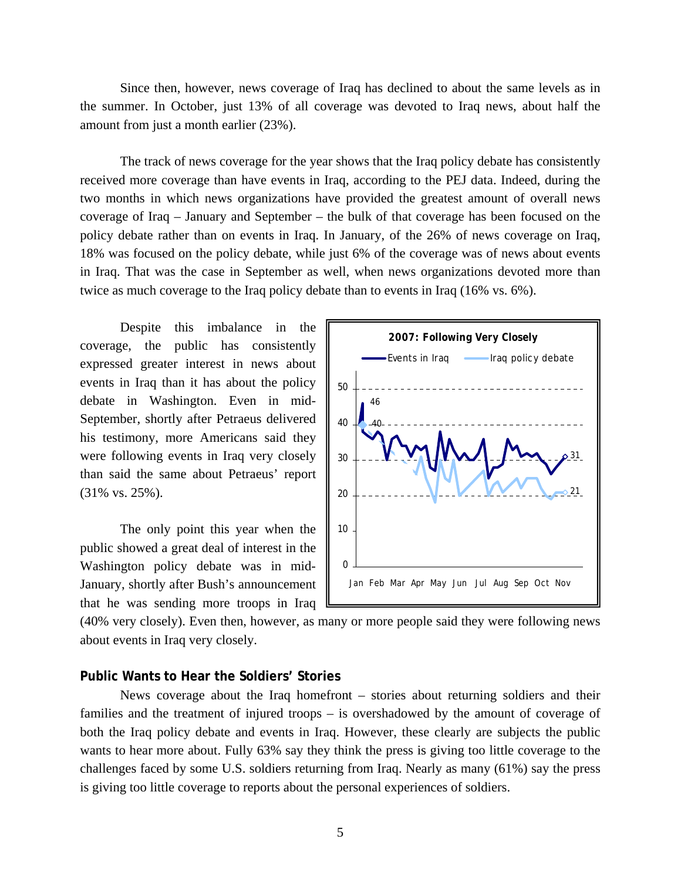Since then, however, news coverage of Iraq has declined to about the same levels as in the summer. In October, just 13% of all coverage was devoted to Iraq news, about half the amount from just a month earlier (23%).

 The track of news coverage for the year shows that the Iraq policy debate has consistently received more coverage than have events in Iraq, according to the PEJ data. Indeed, during the two months in which news organizations have provided the greatest amount of overall news coverage of Iraq – January and September – the bulk of that coverage has been focused on the policy debate rather than on events in Iraq. In January, of the 26% of news coverage on Iraq, 18% was focused on the policy debate, while just 6% of the coverage was of news about events in Iraq. That was the case in September as well, when news organizations devoted more than twice as much coverage to the Iraq policy debate than to events in Iraq (16% vs. 6%).

 Despite this imbalance in the coverage, the public has consistently expressed greater interest in news about events in Iraq than it has about the policy debate in Washington. Even in mid-September, shortly after Petraeus delivered his testimony, more Americans said they were following events in Iraq very closely than said the same about Petraeus' report (31% vs. 25%).

 The only point this year when the public showed a great deal of interest in the Washington policy debate was in mid-January, shortly after Bush's announcement that he was sending more troops in Iraq



(40% very closely). Even then, however, as many or more people said they were following news about events in Iraq very closely.

#### **Public Wants to Hear the Soldiers' Stories**

 News coverage about the Iraq homefront – stories about returning soldiers and their families and the treatment of injured troops – is overshadowed by the amount of coverage of both the Iraq policy debate and events in Iraq. However, these clearly are subjects the public wants to hear more about. Fully 63% say they think the press is giving too little coverage to the challenges faced by some U.S. soldiers returning from Iraq. Nearly as many (61%) say the press is giving too little coverage to reports about the personal experiences of soldiers.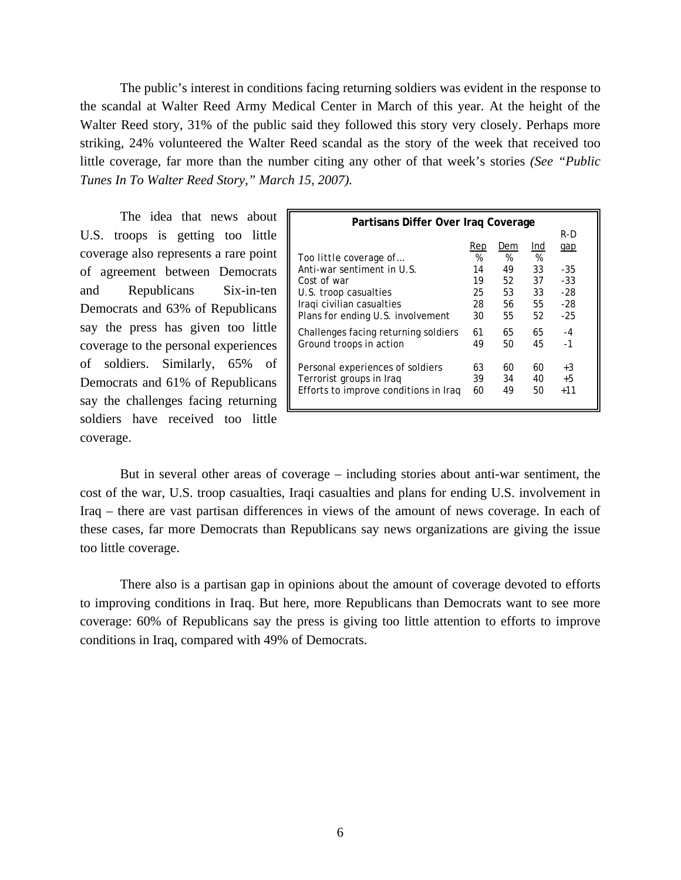The public's interest in conditions facing returning soldiers was evident in the response to the scandal at Walter Reed Army Medical Center in March of this year. At the height of the Walter Reed story, 31% of the public said they followed this story very closely. Perhaps more striking, 24% volunteered the Walter Reed scandal as the story of the week that received too little coverage, far more than the number citing any other of that week's stories *(See "Public Tunes In To Walter Reed Story," March 15, 2007).* 

 The idea that news about U.S. troops is getting too little coverage also represents a rare point of agreement between Democrats and Republicans Six-in-ten Democrats and 63% of Republicans say the press has given too little coverage to the personal experiences of soldiers. Similarly, 65% of Democrats and 61% of Republicans say the challenges facing returning soldiers have received too little coverage.

| Partisans Differ Over Iraq Coverage   |     |     |     |       |  |  |  |
|---------------------------------------|-----|-----|-----|-------|--|--|--|
|                                       | R-D |     |     |       |  |  |  |
|                                       | Rep | Dem | Ind | gap   |  |  |  |
| Too little coverage of                | %   | %   | %   |       |  |  |  |
| Anti-war sentiment in U.S.            | 14  | 49  | 33  | -35   |  |  |  |
| Cost of war                           | 19  | 52  | 37  | $-33$ |  |  |  |
| U.S. troop casualties                 | 25  | 53  | 33  | $-28$ |  |  |  |
| Iragi civilian casualties             | 28  | 56  | 55  | $-28$ |  |  |  |
| Plans for ending U.S. involvement     | 30  | 55  | 52  | $-25$ |  |  |  |
| Challenges facing returning soldiers  | 61  | 65  | 65  | $-4$  |  |  |  |
| Ground troops in action               | 49  | 50  | 45  | $-1$  |  |  |  |
| Personal experiences of soldiers      | 63  | 60  | 60  | $+3$  |  |  |  |
| Terrorist groups in Iraq              | 39  | 34  | 40  | $+5$  |  |  |  |
| Efforts to improve conditions in Iraq | 60  | 49  | 50  | $+11$ |  |  |  |
|                                       |     |     |     |       |  |  |  |

But in several other areas of coverage – including stories about anti-war sentiment, the cost of the war, U.S. troop casualties, Iraqi casualties and plans for ending U.S. involvement in Iraq – there are vast partisan differences in views of the amount of news coverage. In each of these cases, far more Democrats than Republicans say news organizations are giving the issue too little coverage.

 There also is a partisan gap in opinions about the amount of coverage devoted to efforts to improving conditions in Iraq. But here, more Republicans than Democrats want to see more coverage: 60% of Republicans say the press is giving too little attention to efforts to improve conditions in Iraq, compared with 49% of Democrats.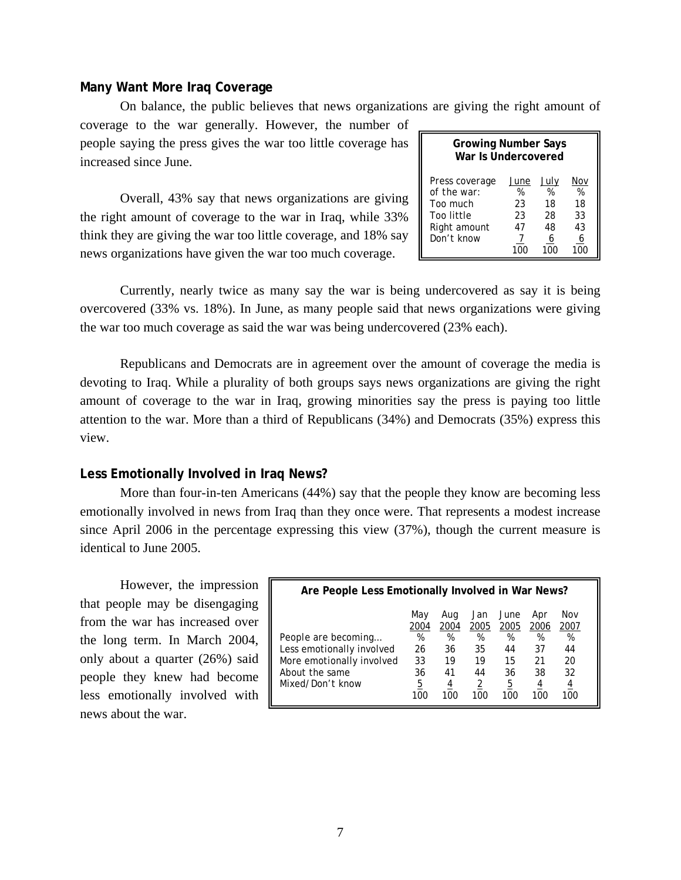#### **Many Want More Iraq Coverage**

On balance, the public believes that news organizations are giving the right amount of

coverage to the war generally. However, the number of people saying the press gives the war too little coverage has increased since June.

Overall, 43% say that news organizations are giving the right amount of coverage to the war in Iraq, while 33% think they are giving the war too little coverage, and 18% say news organizations have given the war too much coverage.

| <b>Growing Number Says</b><br>War Is Undercovered                                     |                                         |                                         |                                        |  |  |  |  |
|---------------------------------------------------------------------------------------|-----------------------------------------|-----------------------------------------|----------------------------------------|--|--|--|--|
| Press coverage<br>of the war:<br>Too much<br>Too little<br>Right amount<br>Don't know | June<br>%<br>23<br>23<br>47<br>7<br>10C | July<br>%<br>18<br>28<br>48<br>6<br>100 | Nov<br>%<br>18<br>33<br>43<br>6<br>100 |  |  |  |  |

Currently, nearly twice as many say the war is being undercovered as say it is being overcovered (33% vs. 18%). In June, as many people said that news organizations were giving the war too much coverage as said the war was being undercovered (23% each).

Republicans and Democrats are in agreement over the amount of coverage the media is devoting to Iraq. While a plurality of both groups says news organizations are giving the right amount of coverage to the war in Iraq, growing minorities say the press is paying too little attention to the war. More than a third of Republicans (34%) and Democrats (35%) express this view.

#### **Less Emotionally Involved in Iraq News?**

More than four-in-ten Americans (44%) say that the people they know are becoming less emotionally involved in news from Iraq than they once were. That represents a modest increase since April 2006 in the percentage expressing this view (37%), though the current measure is identical to June 2005.

However, the impression that people may be disengaging from the war has increased over the long term. In March 2004, only about a quarter (26%) said people they knew had become less emotionally involved with news about the war.

| Are People Less Emotionally Involved in War News? |             |             |             |              |             |             |  |
|---------------------------------------------------|-------------|-------------|-------------|--------------|-------------|-------------|--|
|                                                   | May<br>2004 | Aug<br>2004 | Jan<br>2005 | June<br>2005 | Apr<br>2006 | Nov<br>2007 |  |
| People are becoming                               | %           | %           | %           | %            | %           | %           |  |
| Less emotionally involved                         | 26          | 36          | 35          | 44           | 37          | 44          |  |
| More emotionally involved                         | 33          | 19          | 19          | 15           | 21          | 20          |  |
| About the same                                    | 36          | 41          | 44          | 36           | 38          | 32          |  |
| Mixed/Don't know                                  | 5<br>100    | 4<br>10C    | 2<br>100    | 5<br>100     | 4<br>100    | 4<br>100    |  |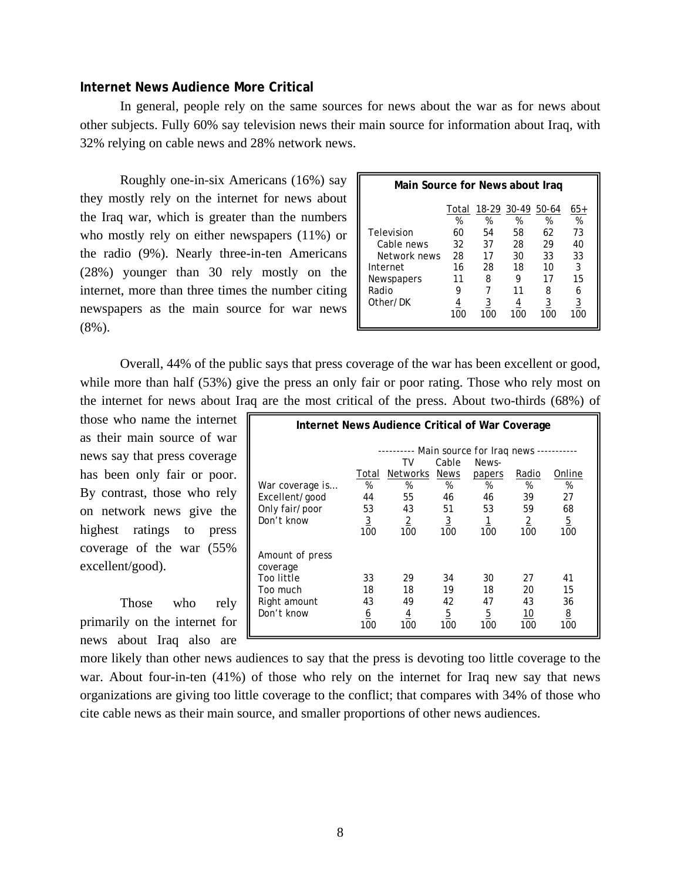## **Internet News Audience More Critical**

In general, people rely on the same sources for news about the war as for news about other subjects. Fully 60% say television news their main source for information about Iraq, with 32% relying on cable news and 28% network news.

Roughly one-in-six Americans (16%) say they mostly rely on the internet for news about the Iraq war, which is greater than the numbers who mostly rely on either newspapers (11%) or the radio (9%). Nearly three-in-ten Americans (28%) younger than 30 rely mostly on the internet, more than three times the number citing newspapers as the main source for war news (8%).

| Main Source for News about Iraq |            |            |            |            |                 |  |  |
|---------------------------------|------------|------------|------------|------------|-----------------|--|--|
|                                 | Total<br>% | 18-29<br>% | 30-49<br>% | 50-64<br>% | 65+<br>%        |  |  |
| Television                      | 60         | 54         | 58         | 62         | 73              |  |  |
| Cable news                      | 32         | 37         | 28         | 29         | 40              |  |  |
| Network news                    | 28         | 17         | 30         | 33         | 33              |  |  |
| Internet                        | 16         | 28         | 18         | 10         | 3               |  |  |
| Newspapers                      | 11         | 8          | 9          | 17         | 15              |  |  |
| Radio                           | 9          |            | 11         | 8          | 6               |  |  |
| Other/DK                        | 100        | 100        | 100        | 3<br>100   | <u>3</u><br>100 |  |  |

Overall, 44% of the public says that press coverage of the war has been excellent or good, while more than half (53%) give the press an only fair or poor rating. Those who rely most on the internet for news about Iraq are the most critical of the press. About two-thirds (68%) of

those who name the internet as their main source of war news say that press coverage has been only fair or poor. By contrast, those who rely on network news give the highest ratings to press coverage of the war (55% excellent/good).

Those who rely primarily on the internet for news about Iraq also are

| Internet News Audience Critical of War Coverage                                     |                                                 |                                                                 |                                                                |                                                                             |                                                 |                                                  |  |  |
|-------------------------------------------------------------------------------------|-------------------------------------------------|-----------------------------------------------------------------|----------------------------------------------------------------|-----------------------------------------------------------------------------|-------------------------------------------------|--------------------------------------------------|--|--|
| War coverage is<br>Excellent/good<br>Only fair/poor<br>Don't know                   | Total<br>%<br>44<br>53<br>$\overline{3}$<br>100 | TV<br><b>Networks</b><br>%<br>55<br>43<br>$\overline{2}$<br>100 | Cable<br><b>News</b><br>%<br>46<br>51<br>$\overline{3}$<br>100 | Main source for Irag news -<br>News-<br>papers<br>%<br>46<br>53<br>1<br>100 | Radio<br>%<br>39<br>59<br>$\overline{2}$<br>100 | Online<br>%<br>27<br>68<br>$\overline{5}$<br>100 |  |  |
| Amount of press<br>coverage<br>Too little<br>Too much<br>Right amount<br>Don't know | 33<br>18<br>43<br><u>6</u><br>100               | 29<br>18<br>49<br>$\overline{4}$<br>100                         | 34<br>19<br>42<br>$\overline{5}$<br>100                        | 30<br>18<br>47<br>$\overline{5}$<br>100                                     | 27<br>20<br>43<br>10<br>100                     | 41<br>15<br>36<br><u>8</u><br>100                |  |  |

more likely than other news audiences to say that the press is devoting too little coverage to the war. About four-in-ten (41%) of those who rely on the internet for Iraq new say that news organizations are giving too little coverage to the conflict; that compares with 34% of those who cite cable news as their main source, and smaller proportions of other news audiences.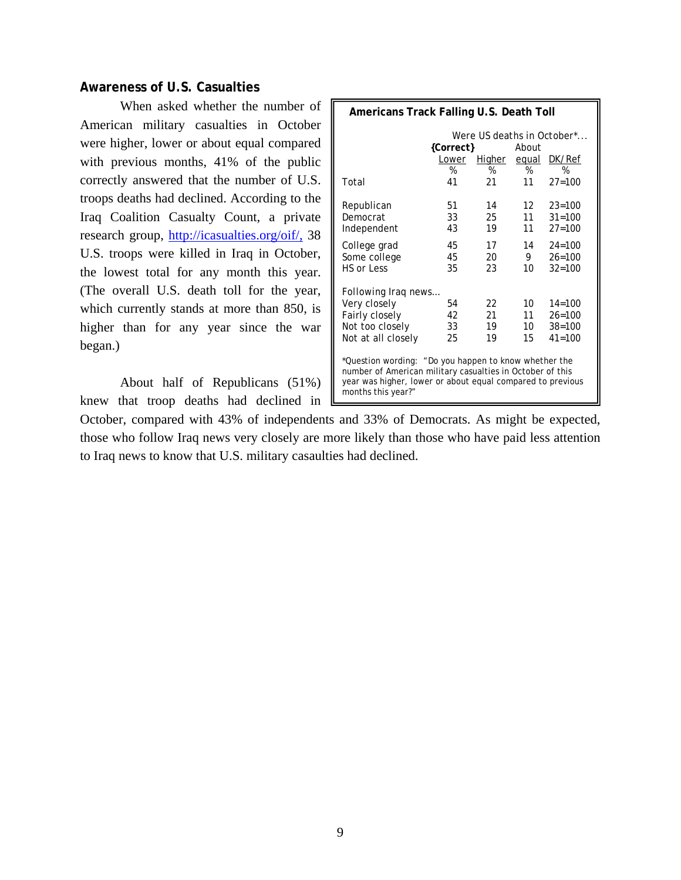## **Awareness of U.S. Casualties**

When asked whether the number of American military casualties in October were higher, lower or about equal compared with previous months, 41% of the public correctly answered that the number of U.S. troops deaths had declined. According to the Iraq Coalition Casualty Count, a private research group, http://icasualties.org/oif/, 38 U.S. troops were killed in Iraq in October, the lowest total for any month this year. (The overall U.S. death toll for the year, which currently stands at more than 850, is higher than for any year since the war began.)

About half of Republicans (51%) knew that troop deaths had declined in

| Americans Track Falling U.S. Death Toll                                                                                                                                                                |                                    |                      |                      |                                                      |  |  |  |  |
|--------------------------------------------------------------------------------------------------------------------------------------------------------------------------------------------------------|------------------------------------|----------------------|----------------------|------------------------------------------------------|--|--|--|--|
| Were US deaths in October*<br>{Correct}<br>About                                                                                                                                                       |                                    |                      |                      |                                                      |  |  |  |  |
|                                                                                                                                                                                                        | Higher<br>DK/Ref<br>equal<br>Lower |                      |                      |                                                      |  |  |  |  |
|                                                                                                                                                                                                        | %                                  | %                    | %                    | %                                                    |  |  |  |  |
| Total                                                                                                                                                                                                  | 41                                 | 21                   | 11                   | $27 = 100$                                           |  |  |  |  |
| Republican<br>Democrat<br>Independent                                                                                                                                                                  | 51<br>33<br>43                     | 14<br>25<br>19       | 12<br>11<br>11       | $23 = 100$<br>$31 = 100$<br>$27 = 100$               |  |  |  |  |
| College grad<br>Some college<br>HS or Less                                                                                                                                                             | 45<br>45<br>35                     | 17<br>20<br>23       | 14<br>9<br>10        | $24 = 100$<br>$26 = 100$<br>$32 = 100$               |  |  |  |  |
| Following Iraq news                                                                                                                                                                                    |                                    |                      |                      |                                                      |  |  |  |  |
| Very closely<br>Fairly closely<br>Not too closely<br>Not at all closely                                                                                                                                | 54<br>42<br>33<br>25               | 22<br>21<br>19<br>19 | 10<br>11<br>10<br>15 | $14 = 100$<br>$26 = 100$<br>$38 = 100$<br>$41 = 100$ |  |  |  |  |
| *Question wording: "Do you happen to know whether the<br>number of American military casualties in October of this<br>year was higher, lower or about equal compared to previous<br>months this year?" |                                    |                      |                      |                                                      |  |  |  |  |

October, compared with 43% of independents and 33% of Democrats. As might be expected, those who follow Iraq news very closely are more likely than those who have paid less attention to Iraq news to know that U.S. military casaulties had declined.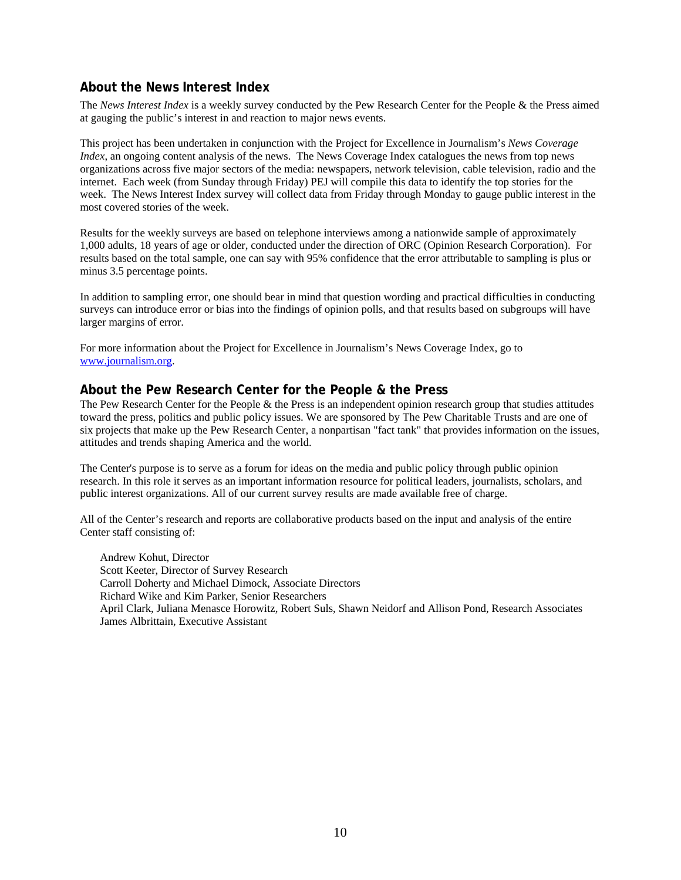# **About the News Interest Index**

The *News Interest Index* is a weekly survey conducted by the Pew Research Center for the People & the Press aimed at gauging the public's interest in and reaction to major news events.

This project has been undertaken in conjunction with the Project for Excellence in Journalism's *News Coverage Index*, an ongoing content analysis of the news. The News Coverage Index catalogues the news from top news organizations across five major sectors of the media: newspapers, network television, cable television, radio and the internet. Each week (from Sunday through Friday) PEJ will compile this data to identify the top stories for the week. The News Interest Index survey will collect data from Friday through Monday to gauge public interest in the most covered stories of the week.

Results for the weekly surveys are based on telephone interviews among a nationwide sample of approximately 1,000 adults, 18 years of age or older, conducted under the direction of ORC (Opinion Research Corporation). For results based on the total sample, one can say with 95% confidence that the error attributable to sampling is plus or minus 3.5 percentage points.

In addition to sampling error, one should bear in mind that question wording and practical difficulties in conducting surveys can introduce error or bias into the findings of opinion polls, and that results based on subgroups will have larger margins of error.

For more information about the Project for Excellence in Journalism's News Coverage Index, go to www.journalism.org.

#### **About the Pew Research Center for the People & the Press**

The Pew Research Center for the People & the Press is an independent opinion research group that studies attitudes toward the press, politics and public policy issues. We are sponsored by The Pew Charitable Trusts and are one of six projects that make up the Pew Research Center, a nonpartisan "fact tank" that provides information on the issues, attitudes and trends shaping America and the world.

The Center's purpose is to serve as a forum for ideas on the media and public policy through public opinion research. In this role it serves as an important information resource for political leaders, journalists, scholars, and public interest organizations. All of our current survey results are made available free of charge.

All of the Center's research and reports are collaborative products based on the input and analysis of the entire Center staff consisting of:

 Andrew Kohut, Director Scott Keeter, Director of Survey Research Carroll Doherty and Michael Dimock, Associate Directors Richard Wike and Kim Parker, Senior Researchers April Clark, Juliana Menasce Horowitz, Robert Suls, Shawn Neidorf and Allison Pond, Research Associates James Albrittain, Executive Assistant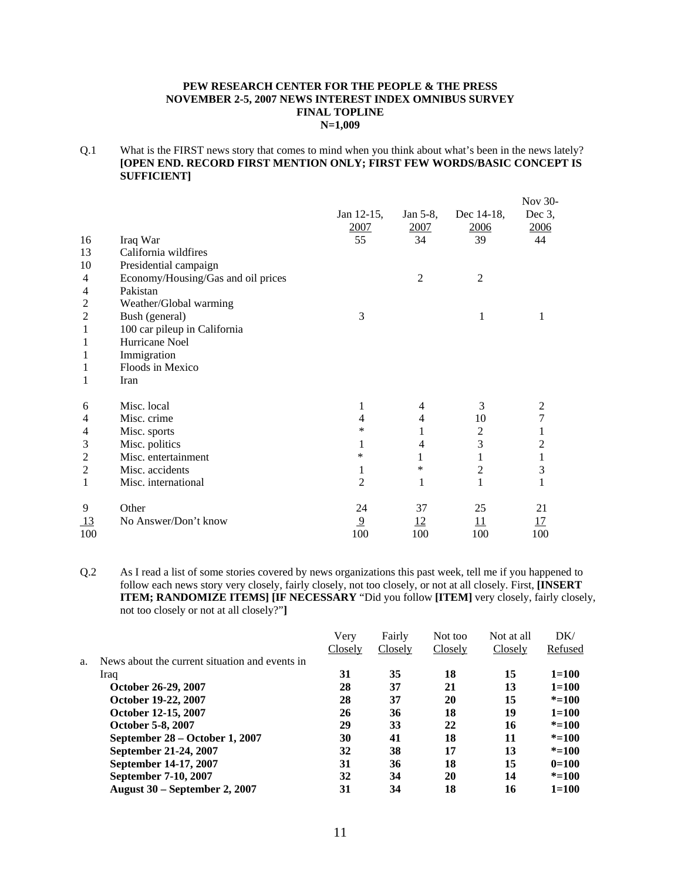#### **PEW RESEARCH CENTER FOR THE PEOPLE & THE PRESS NOVEMBER 2-5, 2007 NEWS INTEREST INDEX OMNIBUS SURVEY FINAL TOPLINE N=1,009**

Q.1 What is the FIRST news story that comes to mind when you think about what's been in the news lately? **[OPEN END. RECORD FIRST MENTION ONLY; FIRST FEW WORDS/BASIC CONCEPT IS SUFFICIENT]** 

|                |                                    |                |                |                | Nov 30-        |
|----------------|------------------------------------|----------------|----------------|----------------|----------------|
|                |                                    | Jan 12-15,     | Jan 5-8,       | Dec 14-18,     | Dec $3$ ,      |
|                |                                    | 2007           | <u>2007</u>    | 2006           | 2006           |
| 16             | Iraq War                           | 55             | 34             | 39             | 44             |
| 13             | California wildfires               |                |                |                |                |
| 10             | Presidential campaign              |                |                |                |                |
| 4              | Economy/Housing/Gas and oil prices |                | 2              | $\overline{2}$ |                |
| 4              | Pakistan                           |                |                |                |                |
| 2              | Weather/Global warming             |                |                |                |                |
| 2              | Bush (general)                     | 3              |                | 1              | 1              |
| 1              | 100 car pileup in California       |                |                |                |                |
| 1              | Hurricane Noel                     |                |                |                |                |
| 1              | Immigration                        |                |                |                |                |
| 1              | Floods in Mexico                   |                |                |                |                |
| 1              | Iran                               |                |                |                |                |
| 6              | Misc. local                        | 1              | 4              | 3              | 2              |
| 4              | Misc. crime                        | 4              | 4              | 10             | 7              |
| 4              | Misc. sports                       | *              | 1              | 2              |                |
| 3              | Misc. politics                     | 1              | $\overline{4}$ | 3              | $\overline{2}$ |
| $\overline{2}$ | Misc. entertainment                | *              | 1              | 1              | $\mathbf{1}$   |
| 2              | Misc. accidents                    | 1              | *              | 2              | 3              |
| 1              | Misc. international                | 2              | 1              | 1              | 1              |
| 9              | Other                              | 24             | 37             | 25             | 21             |
| 13             | No Answer/Don't know               | $\overline{9}$ | <u>12</u>      | 11             | <u>17</u>      |
| 100            |                                    | 100            | 100            | 100            | 100            |

Q.2 As I read a list of some stories covered by news organizations this past week, tell me if you happened to follow each news story very closely, fairly closely, not too closely, or not at all closely. First, **[INSERT ITEM; RANDOMIZE ITEMS] [IF NECESSARY** "Did you follow **[ITEM]** very closely, fairly closely, not too closely or not at all closely?"**]**

|    |                                                | Very    | Fairly  | Not too | Not at all | DK/       |
|----|------------------------------------------------|---------|---------|---------|------------|-----------|
|    |                                                | Closely | Closely | Closely | Closely    | Refused   |
| a. | News about the current situation and events in |         |         |         |            |           |
|    | Iraq                                           | 31      | 35      | 18      | 15         | $1 = 100$ |
|    | October 26-29, 2007                            | 28      | 37      | 21      | 13         | $1 = 100$ |
|    | October 19-22, 2007                            | 28      | 37      | 20      | 15         | $* = 100$ |
|    | October 12-15, 2007                            | 26      | 36      | 18      | 19         | $1 = 100$ |
|    | October 5-8, 2007                              | 29      | 33      | 22      | 16         | $* = 100$ |
|    | September 28 – October 1, 2007                 | 30      | 41      | 18      | 11         | $* = 100$ |
|    | September 21-24, 2007                          | 32      | 38      | 17      | 13         | $* = 100$ |
|    | September 14-17, 2007                          | 31      | 36      | 18      | 15         | $0=100$   |
|    | September 7-10, 2007                           | 32      | 34      | 20      | 14         | $* = 100$ |
|    | <b>August 30 – September 2, 2007</b>           | 31      | 34      | 18      | 16         | $1 = 100$ |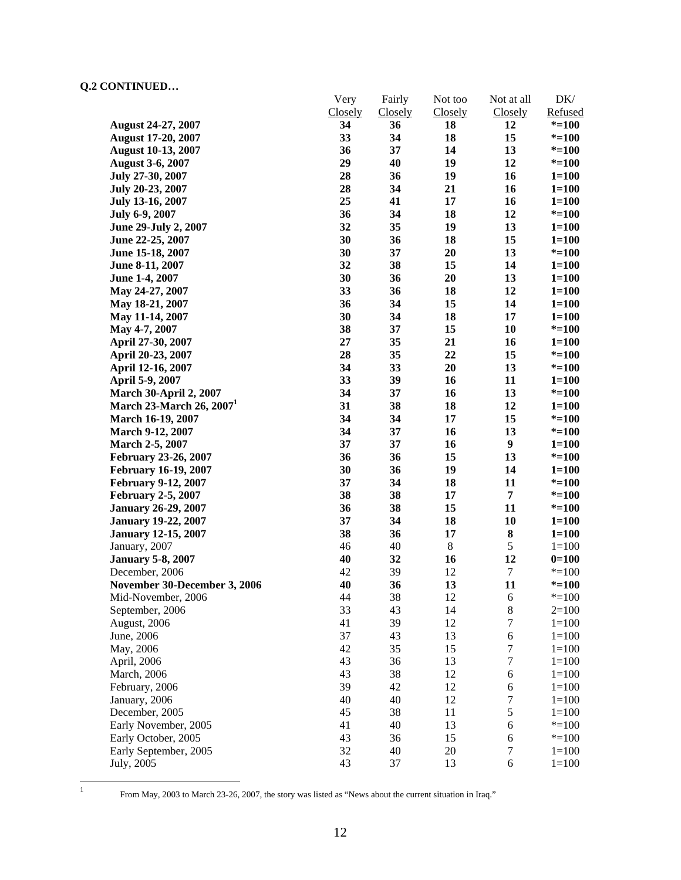|                               | Very<br>Closely | Fairly        | Not too<br>Closely | Not at all           | $DK/$<br>Refused |
|-------------------------------|-----------------|---------------|--------------------|----------------------|------------------|
| <b>August 24-27, 2007</b>     | 34              | Closely<br>36 | 18                 | <b>Closely</b><br>12 | $* = 100$        |
| <b>August 17-20, 2007</b>     | 33              | 34            | 18                 | 15                   | $* = 100$        |
| <b>August 10-13, 2007</b>     | 36              | 37            | 14                 | 13                   | $* = 100$        |
| <b>August 3-6, 2007</b>       | 29              | 40            | 19                 | 12                   | $* = 100$        |
| July 27-30, 2007              | 28              | 36            | 19                 | 16                   | $1 = 100$        |
| July 20-23, 2007              | 28              | 34            | 21                 | 16                   | $1 = 100$        |
| July 13-16, 2007              | 25              | 41            | 17                 | 16                   | $1 = 100$        |
| July 6-9, 2007                | 36              | 34            | 18                 | 12                   | $* = 100$        |
| June 29-July 2, 2007          | 32              | 35            | 19                 | 13                   | $1 = 100$        |
| June 22-25, 2007              | 30              | 36            | 18                 | 15                   | $1 = 100$        |
| June 15-18, 2007              | 30              | 37            | 20                 | 13                   | $* = 100$        |
| June 8-11, 2007               | 32              | 38            | 15                 | 14                   | $1 = 100$        |
| June 1-4, 2007                | 30              | 36            | 20                 | 13                   | $1 = 100$        |
| May 24-27, 2007               | 33              | 36            | 18                 | 12                   | $1 = 100$        |
| May 18-21, 2007               | 36              | 34            | 15                 | 14                   | $1 = 100$        |
| May 11-14, 2007               | 30              | 34            | 18                 | 17                   | $1 = 100$        |
| May 4-7, 2007                 | 38              | 37            | 15                 | 10                   | $* = 100$        |
| April 27-30, 2007             | 27              | 35            | 21                 | 16                   | $1 = 100$        |
| April 20-23, 2007             | 28              | 35            | 22                 | 15                   | $* = 100$        |
| April 12-16, 2007             | 34              | 33            | 20                 | 13                   | $* = 100$        |
| April 5-9, 2007               | 33              | 39            | 16                 | 11                   | $1 = 100$        |
| <b>March 30-April 2, 2007</b> | 34              | 37            | 16                 | 13                   | $* = 100$        |
| March 23-March 26, $20071$    | 31              | 38            | 18                 | 12                   | $1 = 100$        |
| March 16-19, 2007             | 34              | 34            | 17                 | 15                   | $* = 100$        |
| March 9-12, 2007              | 34              | 37            | 16                 | 13                   | $* = 100$        |
| March 2-5, 2007               | 37              | 37            | 16                 | $\boldsymbol{9}$     | $1 = 100$        |
| February 23-26, 2007          | 36              | 36            | 15                 | 13                   | $* = 100$        |
| <b>February 16-19, 2007</b>   | 30              | 36            | 19                 | 14                   | $1 = 100$        |
| <b>February 9-12, 2007</b>    | 37              | 34            | 18                 | 11                   | $* = 100$        |
| <b>February 2-5, 2007</b>     | 38              | 38            | 17                 | $\overline{7}$       | $* = 100$        |
| <b>January 26-29, 2007</b>    | 36              | 38            | 15                 | 11                   | $* = 100$        |
| <b>January 19-22, 2007</b>    | 37              | 34            | 18                 | 10                   | $1 = 100$        |
| <b>January 12-15, 2007</b>    | 38              | 36            | 17                 | ${\bf 8}$            | $1 = 100$        |
| January, 2007                 | 46              | 40            | $\,8\,$            | $\sqrt{5}$           | $1 = 100$        |
| <b>January 5-8, 2007</b>      | 40              | 32            | 16                 | 12                   | $0=100$          |
| December, 2006                | 42              | 39            | 12                 | $\boldsymbol{7}$     | $* = 100$        |
| November 30-December 3, 2006  | 40              | 36            | 13                 | 11                   | $* = 100$        |
| Mid-November, 2006            | 44              | 38            | 12                 | 6                    | $* = 100$        |
| September, 2006               | 33              | 43            | 14                 | $\,8\,$              | $2=100$          |
| August, 2006                  | 41              | 39            | 12                 | $\boldsymbol{7}$     | $1 = 100$        |
| June, 2006                    | 37              | 43            | 13                 | 6                    | $1 = 100$        |
| May, 2006                     | 42              | 35            | 15                 | $\boldsymbol{7}$     | $1 = 100$        |
| April, 2006                   | 43              | 36            | 13                 | $\boldsymbol{7}$     | $1 = 100$        |
| March, 2006                   | 43              | 38            | 12                 | $\sqrt{6}$           | $1 = 100$        |
| February, 2006                | 39              | 42            | 12                 | 6                    | $1 = 100$        |
| January, 2006                 | 40              | 40            | 12                 | $\tau$               | $1 = 100$        |
| December, 2005                | 45              | 38            | 11                 | $\sqrt{5}$           | $1 = 100$        |
| Early November, 2005          | 41              | 40            | 13                 | 6                    | $* = 100$        |
| Early October, 2005           | 43              | 36            | 15                 | $6\,$                | $* = 100$        |
| Early September, 2005         | 32              | 40            | 20                 | $\tau$               | $1 = 100$        |
| July, 2005                    | 43              | 37            | 13                 | 6                    | $1 = 100$        |

 $\frac{1}{1}$ 

From May, 2003 to March 23-26, 2007, the story was listed as "News about the current situation in Iraq."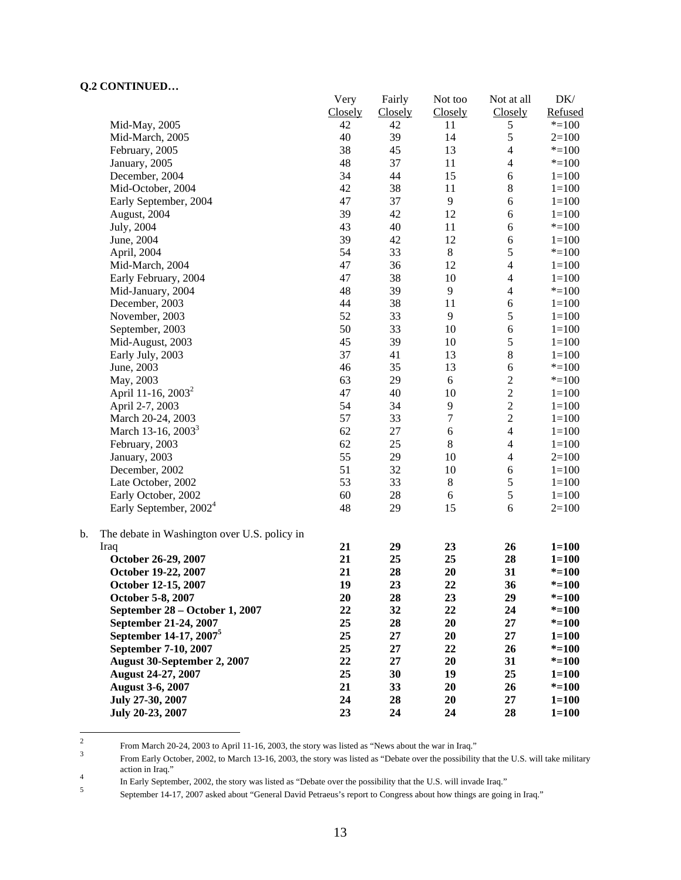|                                                    | Very    | Fairly  | Not too          | Not at all     | DK/       |
|----------------------------------------------------|---------|---------|------------------|----------------|-----------|
|                                                    | Closely | Closely | Closely          | Closely        | Refused   |
| Mid-May, 2005                                      | 42      | 42      | 11               | 5              | $* = 100$ |
| Mid-March, 2005                                    | 40      | 39      | 14               | 5              | $2=100$   |
| February, 2005                                     | 38      | 45      | 13               | $\overline{4}$ | $* = 100$ |
| January, 2005                                      | 48      | 37      | 11               | $\overline{4}$ | $* = 100$ |
| December, 2004                                     | 34      | 44      | 15               | 6              | $1 = 100$ |
| Mid-October, 2004                                  | 42      | 38      | 11               | $\,8\,$        | $1 = 100$ |
| Early September, 2004                              | 47      | 37      | $\overline{9}$   | 6              | $1 = 100$ |
| August, 2004                                       | 39      | 42      | 12               | $\sqrt{6}$     | $1 = 100$ |
| July, 2004                                         | 43      | 40      | 11               | $\sqrt{6}$     | $* = 100$ |
| June, 2004                                         | 39      | 42      | 12               | 6              | $1 = 100$ |
| April, 2004                                        | 54      | 33      | $\,8\,$          | $\sqrt{5}$     | $* = 100$ |
| Mid-March, 2004                                    | 47      | 36      | 12               | $\overline{4}$ | $1 = 100$ |
| Early February, 2004                               | 47      | 38      | 10               | $\overline{4}$ | $1 = 100$ |
| Mid-January, 2004                                  | 48      | 39      | $\overline{9}$   | $\overline{4}$ | $* = 100$ |
| December, 2003                                     | 44      | 38      | 11               | $\sqrt{6}$     | $1 = 100$ |
| November, 2003                                     | 52      | 33      | 9                | 5              | $1 = 100$ |
| September, 2003                                    | 50      | 33      | 10               | 6              | $1 = 100$ |
| Mid-August, 2003                                   | 45      | 39      | 10               | $\sqrt{5}$     | $1 = 100$ |
| Early July, 2003                                   | 37      | 41      | 13               | $\bf 8$        | $1 = 100$ |
| June, 2003                                         | 46      | 35      | 13               | 6              | $* = 100$ |
| May, 2003                                          | 63      | 29      | $6\,$            | $\overline{c}$ | $* = 100$ |
| April 11-16, 2003 <sup>2</sup>                     | 47      | 40      | 10               | $\overline{c}$ | $1 = 100$ |
| April 2-7, 2003                                    | 54      | 34      | 9                | $\overline{2}$ | $1 = 100$ |
| March 20-24, 2003                                  | 57      | 33      | $\boldsymbol{7}$ | $\overline{2}$ | $1 = 100$ |
| March 13-16, 2003 <sup>3</sup>                     | 62      | 27      | 6                | $\overline{4}$ | $1 = 100$ |
| February, 2003                                     | 62      | 25      | $\,8\,$          | $\overline{4}$ | $1 = 100$ |
| January, 2003                                      | 55      | 29      | 10               | $\overline{4}$ | $2=100$   |
| December, 2002                                     | 51      | 32      | 10               | 6              | $1 = 100$ |
| Late October, 2002                                 | 53      | 33      | $8\,$            | $\sqrt{5}$     | $1 = 100$ |
| Early October, 2002                                | 60      | 28      | $\sqrt{6}$       | $\sqrt{5}$     | $1 = 100$ |
| Early September, 2002 <sup>4</sup>                 | 48      | 29      | 15               | 6              | $2=100$   |
| b.<br>The debate in Washington over U.S. policy in |         |         |                  |                |           |
| Iraq                                               | 21      | 29      | 23               | 26             | $1 = 100$ |
| October 26-29, 2007                                | 21      | 25      | 25               | 28             | $1 = 100$ |
| October 19-22, 2007                                | 21      | 28      | 20               | 31             | $* = 100$ |
| October 12-15, 2007                                | 19      | 23      | 22               | 36             | $* = 100$ |
| October 5-8, 2007                                  | 20      | 28      | 23               | 29             | $* = 100$ |
| September 28 – October 1, 2007                     | 22      | 32      | 22               | 24             | $* = 100$ |
| September 21-24, 2007                              | 25      | 28      | 20               | 27             | $* = 100$ |
| September 14-17, 2007 <sup>5</sup>                 | 25      | 27      | 20               | 27             | $1 = 100$ |
| September 7-10, 2007                               | 25      | 27      | 22               | 26             | $* = 100$ |
| <b>August 30-September 2, 2007</b>                 | 22      | 27      | 20               | 31             | $* = 100$ |
| August 24-27, 2007                                 | 25      | 30      | 19               | 25             | $1 = 100$ |
| <b>August 3-6, 2007</b>                            | 21      | 33      | 20               | 26             | $* = 100$ |
| July 27-30, 2007                                   | 24      | 28      | 20               | 27             | $1 = 100$ |
| July 20-23, 2007                                   | 23      | 24      | 24               | 28             | $1 = 100$ |

 $\frac{1}{2}$ From March 20-24, 2003 to April 11-16, 2003, the story was listed as "News about the war in Iraq."

From Early October, 2002, to March 13-16, 2003, the story was listed as "Debate over the possibility that the U.S. will take military action in Iraq."

In Early September, 2002, the story was listed as "Debate over the possibility that the U.S. will invade Iraq."<br>September 14.17, 2007 select about "Cancel David Betracus's generate Cancerse about haur things are going

September 14-17, 2007 asked about "General David Petraeus's report to Congress about how things are going in Iraq."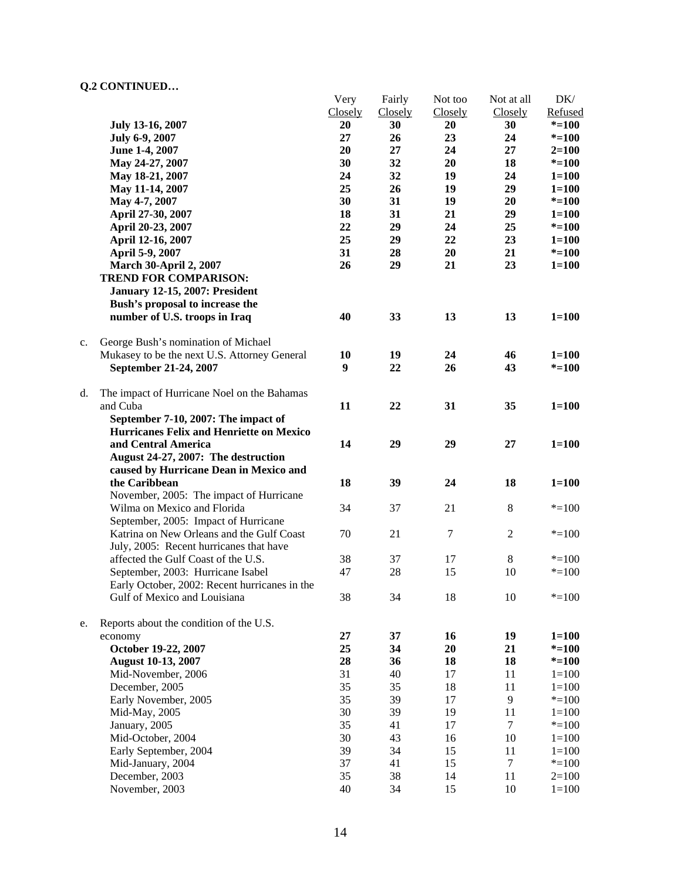|    |                                               | Very    | Fairly  | Not too          | Not at all     | DK/       |
|----|-----------------------------------------------|---------|---------|------------------|----------------|-----------|
|    |                                               | Closely | Closely | Closely          | Closely        | Refused   |
|    | July 13-16, 2007                              | 20      | 30      | 20               | 30             | $* = 100$ |
|    | July 6-9, 2007                                | 27      | 26      | 23               | 24             | $* = 100$ |
|    | June 1-4, 2007                                | 20      | 27      | 24               | 27             | $2 = 100$ |
|    | May 24-27, 2007                               | 30      | 32      | 20               | 18             | $* = 100$ |
|    | May 18-21, 2007                               | 24      | 32      | 19               | 24             | $1 = 100$ |
|    | May 11-14, 2007                               | 25      | 26      | 19               | 29             | $1 = 100$ |
|    | May 4-7, 2007                                 | 30      | 31      | 19               | 20             | $* = 100$ |
|    | April 27-30, 2007                             | 18      | 31      | 21               | 29             | $1 = 100$ |
|    | April 20-23, 2007                             | 22      | 29      | 24               | 25             | $* = 100$ |
|    | April 12-16, 2007                             | 25      | 29      | 22               | 23             | $1 = 100$ |
|    | April 5-9, 2007                               | 31      | 28      | 20               | 21             | $* = 100$ |
|    | <b>March 30-April 2, 2007</b>                 | 26      | 29      | 21               | 23             | $1 = 100$ |
|    | <b>TREND FOR COMPARISON:</b>                  |         |         |                  |                |           |
|    | <b>January 12-15, 2007: President</b>         |         |         |                  |                |           |
|    | Bush's proposal to increase the               |         |         |                  |                |           |
|    | number of U.S. troops in Iraq                 | 40      | 33      | 13               | 13             | $1 = 100$ |
|    |                                               |         |         |                  |                |           |
| c. | George Bush's nomination of Michael           |         |         |                  |                |           |
|    | Mukasey to be the next U.S. Attorney General  | 10      | 19      | 24               | 46             | $1 = 100$ |
|    | September 21-24, 2007                         | 9       | 22      | 26               | 43             | $* = 100$ |
|    |                                               |         |         |                  |                |           |
| d. | The impact of Hurricane Noel on the Bahamas   |         |         |                  |                |           |
|    | and Cuba                                      | 11      | 22      | 31               | 35             | $1 = 100$ |
|    | September 7-10, 2007: The impact of           |         |         |                  |                |           |
|    | Hurricanes Felix and Henriette on Mexico      |         |         |                  |                |           |
|    | and Central America                           | 14      | 29      | 29               | 27             | $1 = 100$ |
|    | August 24-27, 2007: The destruction           |         |         |                  |                |           |
|    | caused by Hurricane Dean in Mexico and        |         |         |                  |                |           |
|    | the Caribbean                                 | 18      | 39      | 24               | 18             | $1 = 100$ |
|    | November, 2005: The impact of Hurricane       |         |         |                  |                |           |
|    | Wilma on Mexico and Florida                   | 34      | 37      | 21               | $\,8\,$        | $* = 100$ |
|    | September, 2005: Impact of Hurricane          |         |         |                  |                |           |
|    | Katrina on New Orleans and the Gulf Coast     | 70      | 21      | $\boldsymbol{7}$ | $\mathfrak{2}$ | $* = 100$ |
|    | July, 2005: Recent hurricanes that have       |         |         |                  |                |           |
|    | affected the Gulf Coast of the U.S.           | 38      | 37      | 17               | 8              | $* = 100$ |
|    | September, 2003: Hurricane Isabel             | 47      | 28      | 15               | 10             | $* = 100$ |
|    | Early October, 2002: Recent hurricanes in the |         |         |                  |                |           |
|    | Gulf of Mexico and Louisiana                  | 38      | 34      | 18               | 10             | $* = 100$ |
|    |                                               |         |         |                  |                |           |
| e. | Reports about the condition of the U.S.       |         |         |                  |                |           |
|    | economy                                       | 27      | 37      | 16               | 19             | $1 = 100$ |
|    | October 19-22, 2007                           | 25      | 34      | 20               | 21             | $* = 100$ |
|    | <b>August 10-13, 2007</b>                     | 28      | 36      | 18               | 18             | $* = 100$ |
|    | Mid-November, 2006                            | 31      | 40      | 17               | 11             | $1 = 100$ |
|    | December, 2005                                | 35      | 35      | 18               | 11             | $1 = 100$ |
|    | Early November, 2005                          | 35      | 39      | 17               | 9              | $* = 100$ |
|    | Mid-May, 2005                                 | 30      | 39      | 19               | 11             | $1=100$   |
|    | January, 2005                                 | 35      | 41      | 17               | $\tau$         | $* = 100$ |
|    | Mid-October, 2004                             | 30      | 43      | 16               | 10             | $1=100$   |
|    | Early September, 2004                         | 39      | 34      | 15               | 11             | $1 = 100$ |
|    | Mid-January, 2004                             | 37      | 41      | 15               | $\tau$         | $* = 100$ |
|    | December, 2003                                | 35      | 38      | 14               | 11             | $2=100$   |
|    | November, 2003                                | 40      | 34      | 15               | $10\,$         | $1 = 100$ |
|    |                                               |         |         |                  |                |           |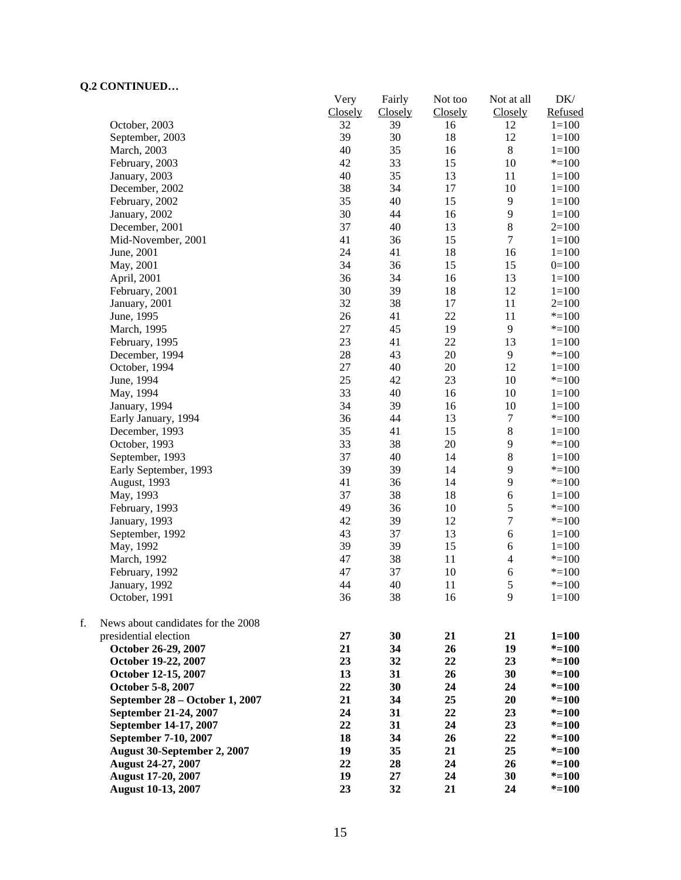|    | CONTROLLOW                         | Very<br>Closely | Fairly        | Not too       | Not at all               | $DK/$<br>Refused |
|----|------------------------------------|-----------------|---------------|---------------|--------------------------|------------------|
|    | October, 2003                      | 32              | Closely<br>39 | Closely<br>16 | Closely<br>12            | $1 = 100$        |
|    | September, 2003                    | 39              | 30            | 18            | 12                       | $1 = 100$        |
|    | March, 2003                        | 40              | 35            | 16            | $\,8\,$                  | $1 = 100$        |
|    | February, 2003                     | 42              | 33            | 15            | 10                       | $* = 100$        |
|    | January, 2003                      | 40              | 35            | 13            | 11                       | $1 = 100$        |
|    | December, 2002                     | 38              | 34            | 17            | 10                       | $1 = 100$        |
|    | February, 2002                     | 35              | 40            | 15            | $\mathbf{9}$             | $1 = 100$        |
|    | January, 2002                      | 30              | 44            | 16            | 9                        | $1 = 100$        |
|    | December, 2001                     | 37              | 40            | 13            | $\,8\,$                  | $2=100$          |
|    | Mid-November, 2001                 | 41              | 36            | 15            | $\boldsymbol{7}$         | $1 = 100$        |
|    | June, 2001                         | 24              | 41            | 18            | 16                       | $1 = 100$        |
|    | May, 2001                          | 34              | 36            | 15            | 15                       | $0=100$          |
|    | April, 2001                        | 36              | 34            | 16            | 13                       | $1 = 100$        |
|    | February, 2001                     | 30              | 39            | 18            | 12                       | $1 = 100$        |
|    | January, 2001                      | 32              | 38            | 17            | 11                       | $2=100$          |
|    | June, 1995                         | 26              | 41            | 22            | 11                       | $* = 100$        |
|    |                                    | $27\,$          | 45            | 19            | 9                        | $* = 100$        |
|    | March, 1995                        |                 |               | 22            |                          |                  |
|    | February, 1995                     | 23              | 41            |               | 13                       | $1 = 100$        |
|    | December, 1994                     | 28              | 43            | 20            | 9                        | $* = 100$        |
|    | October, 1994                      | $27\,$          | 40            | 20            | 12                       | $1 = 100$        |
|    | June, 1994                         | 25              | 42            | 23            | $10\,$                   | $* = 100$        |
|    | May, 1994                          | 33              | 40            | 16            | 10                       | $1 = 100$        |
|    | January, 1994                      | 34              | 39            | 16            | 10                       | $1 = 100$        |
|    | Early January, 1994                | 36              | 44            | 13            | $\boldsymbol{7}$         | $* = 100$        |
|    | December, 1993                     | 35              | 41            | 15            | $\,$ 8 $\,$              | $1 = 100$        |
|    | October, 1993                      | 33              | 38            | 20            | 9                        | $* = 100$        |
|    | September, 1993                    | 37              | 40            | 14            | 8                        | $1 = 100$        |
|    | Early September, 1993              | 39              | 39            | 14            | 9                        | $* = 100$        |
|    | August, 1993                       | 41              | 36            | 14            | 9                        | $* = 100$        |
|    | May, 1993                          | 37              | 38            | 18            | 6                        | $1 = 100$        |
|    | February, 1993                     | 49              | 36            | 10            | $\mathfrak s$            | $* = 100$        |
|    | January, 1993                      | 42              | 39            | 12            | $\boldsymbol{7}$         | $* = 100$        |
|    | September, 1992                    | 43              | 37            | 13            | 6                        | $1 = 100$        |
|    | May, 1992                          | 39              | 39            | 15            | 6                        | $1 = 100$        |
|    | March, 1992                        | 47              | 38            | 11            | $\overline{\mathcal{L}}$ | $* = 100$        |
|    | February, 1992                     | 47              | 37            | 10            | $\boldsymbol{6}$         | $* = 100$        |
|    | January, 1992                      | 44              | 40            | 11            | 5                        | $* = 100$        |
|    | October, 1991                      | 36              | 38            | 16            | 9                        | $1 = 100$        |
| f. | News about candidates for the 2008 |                 |               |               |                          |                  |
|    | presidential election              | 27              | 30            | 21            | 21                       | $1 = 100$        |
|    | October 26-29, 2007                | 21              | 34            | 26            | 19                       | $* = 100$        |
|    | October 19-22, 2007                | 23              | 32            | 22            | 23                       | $* = 100$        |
|    | October 12-15, 2007                | 13              | 31            | 26            | 30                       | $* = 100$        |
|    | October 5-8, 2007                  | 22              | 30            | 24            | 24                       | $* = 100$        |
|    | September 28 - October 1, 2007     | 21              | 34            | 25            | 20                       | $* = 100$        |
|    | September 21-24, 2007              | 24              | 31            | 22            | 23                       | $* = 100$        |
|    | September 14-17, 2007              | 22              | 31            | 24            | 23                       | $* = 100$        |
|    | September 7-10, 2007               | 18              | 34            | 26            | 22                       | $* = 100$        |
|    | August 30-September 2, 2007        | 19              | 35            | 21            | 25                       | $* = 100$        |
|    | <b>August 24-27, 2007</b>          | 22              | 28            | 24            | 26                       | $* = 100$        |
|    | <b>August 17-20, 2007</b>          | 19              | 27            | 24            | 30                       | $* = 100$        |
|    | <b>August 10-13, 2007</b>          | 23              | 32            | 21            | 24                       | $* = 100$        |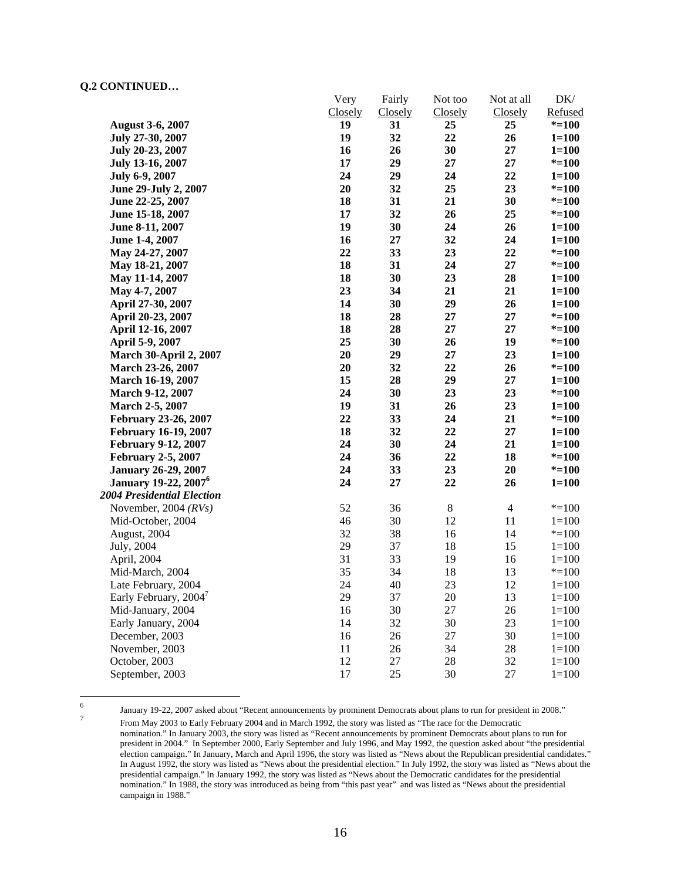|                                         | Very    | Fairly         | Not too | Not at all     | DK/       |
|-----------------------------------------|---------|----------------|---------|----------------|-----------|
|                                         | Closely | <b>Closely</b> | Closely | Closely        | Refused   |
| <b>August 3-6, 2007</b>                 | 19      | 31             | 25      | 25             | $* = 100$ |
| July 27-30, 2007                        | 19      | 32             | 22      | 26             | $1 = 100$ |
| July 20-23, 2007                        | 16      | 26             | 30      | 27             | $1 = 100$ |
| July 13-16, 2007                        | 17      | 29             | 27      | $27\,$         | $* = 100$ |
| July 6-9, 2007                          | 24      | 29             | 24      | 22             | $1 = 100$ |
| June 29-July 2, 2007                    | 20      | 32             | 25      | 23             | $* = 100$ |
| June 22-25, 2007                        | 18      | 31             | 21      | 30             | $* = 100$ |
| June 15-18, 2007                        | 17      | 32             | 26      | 25             | $* = 100$ |
| June 8-11, 2007                         | 19      | 30             | 24      | 26             | $1 = 100$ |
| June 1-4, 2007                          | 16      | 27             | 32      | 24             | $1 = 100$ |
| May 24-27, 2007                         | 22      | 33             | 23      | 22             | $* = 100$ |
| May 18-21, 2007                         | 18      | 31             | 24      | 27             | $* = 100$ |
| May 11-14, 2007                         | 18      | 30             | 23      | 28             | $1 = 100$ |
| May 4-7, 2007                           | 23      | 34             | 21      | 21             | $1 = 100$ |
| April 27-30, 2007                       | 14      | 30             | 29      | 26             | $1 = 100$ |
| April 20-23, 2007                       | 18      | 28             | 27      | 27             | $* = 100$ |
| April 12-16, 2007                       | 18      | 28             | 27      | 27             | $* = 100$ |
| April 5-9, 2007                         | 25      | 30             | 26      | 19             | $* = 100$ |
| <b>March 30-April 2, 2007</b>           | 20      | 29             | 27      | 23             | $1 = 100$ |
| March 23-26, 2007                       | 20      | 32             | 22      | 26             | $* = 100$ |
| March 16-19, 2007                       | 15      | 28             | 29      | 27             | $1 = 100$ |
| March 9-12, 2007                        | 24      | 30             | 23      | 23             | $* = 100$ |
| March 2-5, 2007                         | 19      | 31             | 26      | 23             | $1 = 100$ |
| February 23-26, 2007                    | 22      | 33             | 24      | 21             | $* = 100$ |
| <b>February 16-19, 2007</b>             | 18      | 32             | 22      | 27             | $1 = 100$ |
| <b>February 9-12, 2007</b>              | 24      | 30             | 24      | 21             | $1 = 100$ |
| <b>February 2-5, 2007</b>               | 24      | 36             | 22      | 18             | $* = 100$ |
| <b>January 26-29, 2007</b>              | 24      | 33             | 23      | 20             | $* = 100$ |
| <b>January 19-22, 2007</b> <sup>6</sup> | 24      | 27             | 22      | 26             | $1 = 100$ |
| 2004 Presidential Election              |         |                |         |                |           |
| November, 2004 $(RVs)$                  | 52      | 36             | $8\,$   | $\overline{4}$ | $* = 100$ |
| Mid-October, 2004                       | 46      | 30             | 12      | 11             | $1 = 100$ |
| August, 2004                            | 32      | 38             | 16      | 14             | $* = 100$ |
| July, 2004                              | 29      | 37             | 18      | 15             | $1 = 100$ |
| April, 2004                             | 31      | 33             | 19      | 16             | $1 = 100$ |
| Mid-March, 2004                         | 35      | 34             | 18      | 13             | $* = 100$ |
| Late February, 2004                     | 24      | 40             | 23      | 12             | $1 = 100$ |
| Early February, 2004 <sup>7</sup>       | 29      | 37             | 20      | 13             | $1 = 100$ |
| Mid-January, 2004                       | 16      | 30             | 27      | 26             | $1 = 100$ |
| Early January, 2004                     | 14      | 32             | 30      | 23             | $1 = 100$ |
| December, 2003                          | 16      | 26             | 27      | 30             | $1 = 100$ |
| November, 2003                          | 11      | 26             | 34      | 28             | $1 = 100$ |
| October, 2003                           | 12      | $27\,$         | 28      | 32             | $1 = 100$ |
| September, 2003                         | 17      | 25             | 30      | 27             | $1 = 100$ |

 $\frac{1}{6}$ 

<sup>6</sup> January 19-22, 2007 asked about "Recent announcements by prominent Democrats about plans to run for president in 2008." From May 2003 to Early February 2004 and in March 1992, the story was listed as "The race for the Democratic nomination." In January 2003, the story was listed as "Recent announcements by prominent Democrats about plans to run for president in 2004." In September 2000, Early September and July 1996, and May 1992, the question asked about "the presidential election campaign." In January, March and April 1996, the story was listed as "News about the Republican presidential candidates." In August 1992, the story was listed as "News about the presidential election." In July 1992, the story was listed as "News about the presidential campaign." In January 1992, the story was listed as "News about the Democratic candidates for the presidential nomination." In 1988, the story was introduced as being from "this past year" and was listed as "News about the presidential campaign in 1988."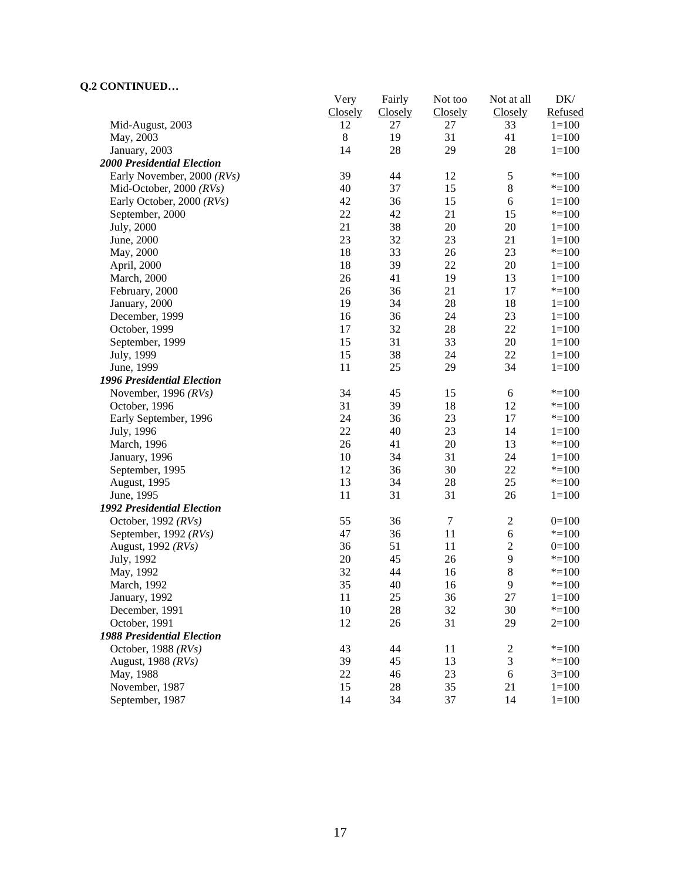|                                   | Very          | Fairly        | Not too       | Not at all<br>Closely | $DK/$<br>Refused       |
|-----------------------------------|---------------|---------------|---------------|-----------------------|------------------------|
| Mid-August, 2003                  | Closely<br>12 | Closely<br>27 | Closely<br>27 | 33                    | $1 = 100$              |
| May, 2003                         | $8\,$         | 19            | 31            | 41                    | $1 = 100$              |
| January, 2003                     | 14            | 28            | 29            | 28                    | $1 = 100$              |
| <b>2000 Presidential Election</b> |               |               |               |                       |                        |
| Early November, 2000 (RVs)        | 39            | 44            | 12            | $\sqrt{5}$            | $* = 100$              |
| Mid-October, 2000 (RVs)           | 40            | 37            | 15            | $8\,$                 | $* = 100$              |
| Early October, 2000 (RVs)         | 42            | 36            | 15            | 6                     | $1 = 100$              |
| September, 2000                   | 22            | 42            | 21            | 15                    | $* = 100$              |
| July, 2000                        | 21            | 38            | 20            | 20                    | $1=100$                |
| June, 2000                        | 23            | 32            | 23            | 21                    | $1=100$                |
| May, 2000                         | 18            | 33            | 26            | 23                    | $* = 100$              |
| April, 2000                       | 18            | 39            | $22\,$        | 20                    | $1=100$                |
| <b>March</b> , 2000               | 26            | 41            | 19            | 13                    | $1=100$                |
| February, 2000                    | 26            | 36            | 21            | 17                    | $* = 100$              |
| January, 2000                     | 19            | 34            | 28            | 18                    | $1 = 100$              |
| December, 1999                    | 16            | 36            | 24            | 23                    | $1 = 100$              |
| October, 1999                     | 17            | 32            | $28\,$        | 22                    | $1 = 100$              |
| September, 1999                   | 15            | 31            | 33            | 20                    | $1 = 100$              |
| July, 1999                        | 15            | 38            | 24            | 22                    | $1 = 100$              |
| June, 1999                        | 11            | 25            | 29            | 34                    | $1=100$                |
| <b>1996 Presidential Election</b> |               |               |               |                       |                        |
| November, 1996 $(RVs)$            | 34            | 45            | 15            | $\sqrt{6}$            | $* = 100$              |
| October, 1996                     | 31            | 39            | 18            | 12                    | $* = 100$              |
| Early September, 1996             | 24            | 36            | 23            | 17                    | $* = 100$              |
| July, 1996                        | 22            | 40            | 23            | 14                    | $1 = 100$              |
| March, 1996                       | 26            | 41            | $20\,$        | 13                    | $* = 100$              |
| January, 1996                     | 10            | 34            | 31            | 24                    | $1 = 100$              |
| September, 1995                   | 12            | 36            | 30            | 22                    | $* = 100$              |
| August, 1995                      | 13            | 34            | $28\,$        | 25                    | $* = 100$              |
| June, 1995                        | 11            | 31            | 31            | 26                    | $1=100$                |
| <b>1992 Presidential Election</b> |               |               |               |                       |                        |
| October, 1992 $(RVs)$             | 55            | 36            | $\tau$        | $\sqrt{2}$            | $0=100$                |
| September, 1992 (RVs)             | 47            | 36            | 11            | 6                     | $* = 100$              |
| August, 1992 (RVs)                | 36            | 51            | 11            | $\sqrt{2}$            | $0=100$                |
|                                   | 20            | 45            | 26            | 9                     | $* = 100$              |
| July, 1992<br>May, 1992           | 32            | 44            | 16            | 8                     | $* = 100$              |
|                                   | 35            | 40            | 16            | 9                     | $* = 100$              |
| March, 1992                       | 11            |               |               | 27                    |                        |
| January, 1992<br>December, 1991   | $10\,$        | 25            | 36<br>32      | 30                    | $1 = 100$<br>$* = 100$ |
| October, 1991                     | 12            | 28<br>26      | 31            | 29                    |                        |
| <b>1988 Presidential Election</b> |               |               |               |                       | $2=100$                |
|                                   |               |               |               |                       |                        |
| October, 1988 $(RVs)$             | 43            | 44            | 11            | $\overline{c}$        | $* = 100$              |
| August, 1988 (RVs)                | 39            | 45            | 13            | 3                     | $* = 100$              |
| May, 1988                         | 22            | 46            | 23            | $\sqrt{6}$            | $3=100$                |
| November, 1987                    | 15            | 28            | 35            | 21                    | $1 = 100$              |
| September, 1987                   | 14            | 34            | 37            | 14                    | $1 = 100$              |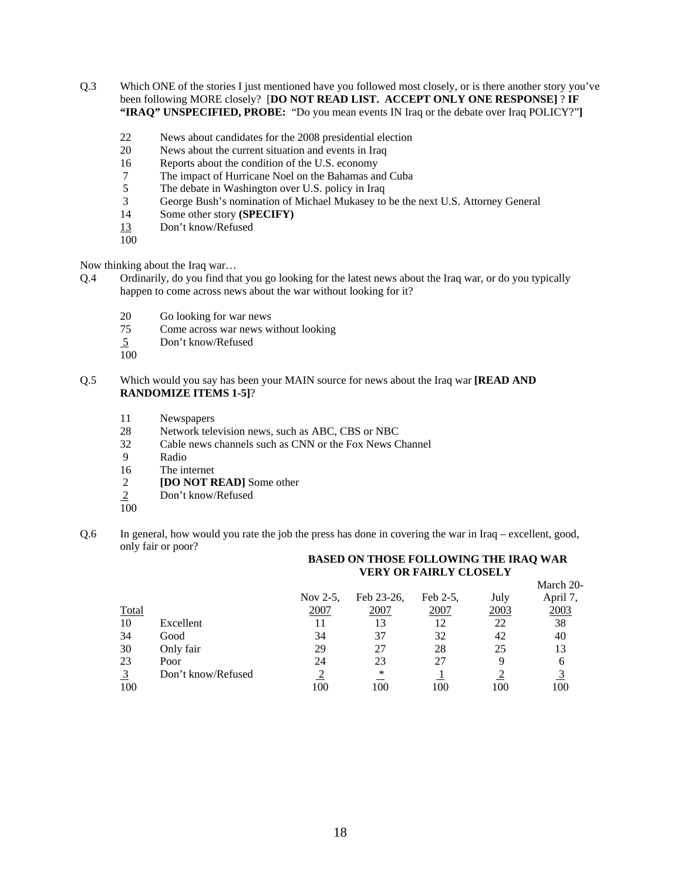- Q.3 Which ONE of the stories I just mentioned have you followed most closely, or is there another story you've been following MORE closely? [**DO NOT READ LIST. ACCEPT ONLY ONE RESPONSE]** ? **IF "IRAQ" UNSPECIFIED, PROBE:** "Do you mean events IN Iraq or the debate over Iraq POLICY?"**]**
	- 22 News about candidates for the 2008 presidential election
	- 20 News about the current situation and events in Iraq
	- 16 Reports about the condition of the U.S. economy
	- 7 The impact of Hurricane Noel on the Bahamas and Cuba
	- 5 The debate in Washington over U.S. policy in Iraq<br>
	3 George Bush's nomination of Michael Mukasey to
	- George Bush's nomination of Michael Mukasey to be the next U.S. Attorney General
	- 14 Some other story **(SPECIFY)**
	- 13 Don't know/Refused
	- 100

Now thinking about the Iraq war…

- Q.4 Ordinarily, do you find that you go looking for the latest news about the Iraq war, or do you typically happen to come across news about the war without looking for it?
	- 20 Go looking for war news
	- 75 Come across war news without looking
	- 5 Don't know/Refused
	- 100
- Q.5 Which would you say has been your MAIN source for news about the Iraq war **[READ AND RANDOMIZE ITEMS 1-5]**?
	- 11 Newspapers
	- 28 Network television news, such as ABC, CBS or NBC
	- 32 Cable news channels such as CNN or the Fox News Channel
	- 9 Radio
	- 16 The internet
	- 2 **[DO NOT READ]** Some other<br>2 Don't know/Refused
	- Don't know/Refused
	- 100
- Q.6 In general, how would you rate the job the press has done in covering the war in Iraq excellent, good, only fair or poor?

#### **BASED ON THOSE FOLLOWING THE IRAQ WAR VERY OR FAIRLY CLOSELY**

|                |                    |             |            |          |      | March 20- |
|----------------|--------------------|-------------|------------|----------|------|-----------|
|                |                    | Nov $2-5$ , | Feb 23-26, | Feb 2-5, | July | April 7,  |
|                | Total              | 2007        | 2007       | 2007     | 2003 | 2003      |
| 10             | Excellent          |             | 13         |          | 22   | 38        |
| 34             | Good               | 34          | 37         | 32       | 42   | 40        |
| 30             | Only fair          | 29          | 27         | 28       | 25   | 13        |
| 23             | Poor               | 24          | 23         | 27       | q    | h         |
| $\overline{3}$ | Don't know/Refused |             | ∗          |          |      |           |
|                | 100                | 00          | 100        | 100      | 100  | 100       |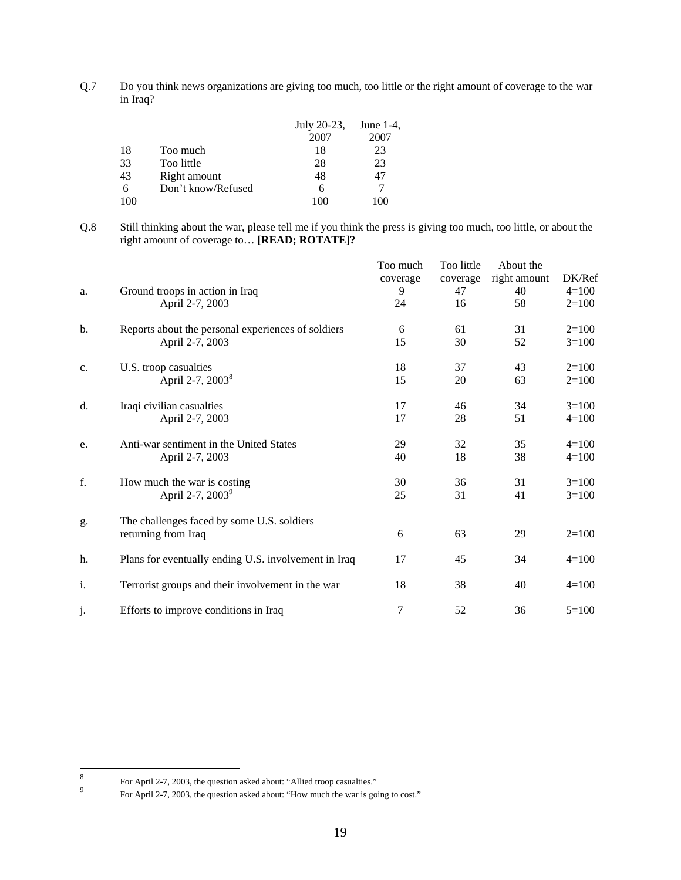Q.7 Do you think news organizations are giving too much, too little or the right amount of coverage to the war in Iraq?

|     |                    | July 20-23, | June $1-4$ , |
|-----|--------------------|-------------|--------------|
|     |                    | 2007        |              |
| 18  | Too much           | 18          | 23           |
| 33  | Too little         | 28          | 23           |
| 43  | Right amount       | 48          |              |
| 6   | Don't know/Refused | O           |              |
| 100 |                    | 100         | $\alpha$     |

Q.8 Still thinking about the war, please tell me if you think the press is giving too much, too little, or about the right amount of coverage to… **[READ; ROTATE]?**

|    |                                                      | Too much<br>coverage | Too little<br>coverage | About the<br>right amount | DK/Ref    |
|----|------------------------------------------------------|----------------------|------------------------|---------------------------|-----------|
| a. | Ground troops in action in Iraq                      | 9                    | 47                     | 40                        | $4 = 100$ |
|    | April 2-7, 2003                                      | 24                   | 16                     | 58                        | $2=100$   |
| b. | Reports about the personal experiences of soldiers   | 6                    | 61                     | 31                        | $2=100$   |
|    | April 2-7, 2003                                      | 15                   | 30                     | 52                        | $3=100$   |
| c. | U.S. troop casualties                                | 18                   | 37                     | 43                        | $2=100$   |
|    | April 2-7, 2003 <sup>8</sup>                         | 15                   | 20                     | 63                        | $2=100$   |
| d. | Iraqi civilian casualties                            | 17                   | 46                     | 34                        | $3=100$   |
|    | April 2-7, 2003                                      | 17                   | 28                     | 51                        | $4=100$   |
| e. | Anti-war sentiment in the United States              | 29                   | 32                     | 35                        | $4 = 100$ |
|    | April 2-7, 2003                                      | 40                   | 18                     | 38                        | $4=100$   |
| f. | How much the war is costing                          | 30                   | 36                     | 31                        | $3=100$   |
|    | April 2-7, 2003 <sup>9</sup>                         | 25                   | 31                     | 41                        | $3=100$   |
| g. | The challenges faced by some U.S. soldiers           |                      |                        |                           |           |
|    | returning from Iraq                                  | 6                    | 63                     | 29                        | $2=100$   |
| h. | Plans for eventually ending U.S. involvement in Iraq | 17                   | 45                     | 34                        | $4=100$   |
| i. | Terrorist groups and their involvement in the war    | 18                   | 38                     | 40                        | $4=100$   |
|    |                                                      |                      |                        |                           |           |
| j. | Efforts to improve conditions in Iraq                | $\tau$               | 52                     | 36                        | $5=100$   |

 8 For April 2-7, 2003, the question asked about: "Allied troop casualties."<br>  $\frac{9}{2}$  For April 2.7, 2003, the question select about: "Here mush the use is asi

For April 2-7, 2003, the question asked about: "How much the war is going to cost."